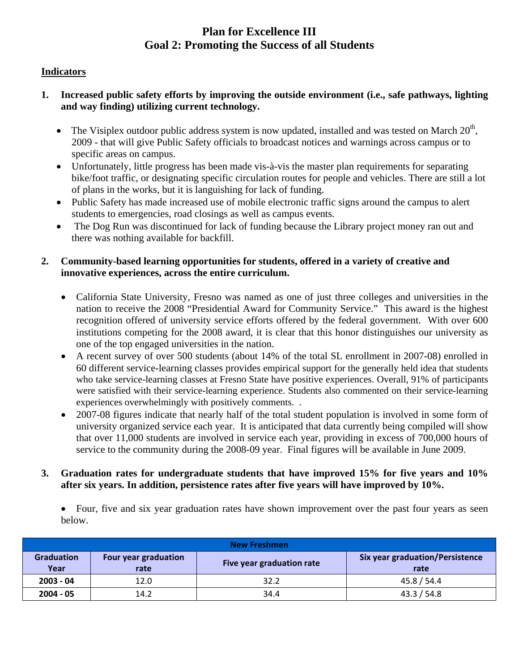## **Plan for Excellence III Goal 2: Promoting the Success of all Students**

## **Indicators**

- **1. Increased public safety efforts by improving the outside environment (i.e., safe pathways, lighting and way finding) utilizing current technology.** 
	- The Visiplex outdoor public address system is now updated, installed and was tested on March  $20<sup>th</sup>$ , 2009 - that will give Public Safety officials to broadcast notices and warnings across campus or to specific areas on campus.
	- Unfortunately, little progress has been made vis-à-vis the master plan requirements for separating bike/foot traffic, or designating specific circulation routes for people and vehicles. There are still a lot of plans in the works, but it is languishing for lack of funding.
	- Public Safety has made increased use of mobile electronic traffic signs around the campus to alert students to emergencies, road closings as well as campus events.
	- The Dog Run was discontinued for lack of funding because the Library project money ran out and there was nothing available for backfill.

## **2. Community-based learning opportunities for students, offered in a variety of creative and innovative experiences, across the entire curriculum.**

- California State University, Fresno was named as one of just three colleges and universities in the nation to receive the 2008 "Presidential Award for Community Service." This award is the highest recognition offered of university service efforts offered by the federal government. With over 600 institutions competing for the 2008 award, it is clear that this honor distinguishes our university as one of the top engaged universities in the nation.
- A recent survey of over 500 students (about 14% of the total SL enrollment in 2007-08) enrolled in 60 different service-learning classes provides empirical support for the generally held idea that students who take service-learning classes at Fresno State have positive experiences. Overall, 91% of participants were satisfied with their service-learning experience. Students also commented on their service-learning experiences overwhelmingly with positively comments. .
- 2007-08 figures indicate that nearly half of the total student population is involved in some form of university organized service each year. It is anticipated that data currently being compiled will show that over 11,000 students are involved in service each year, providing in excess of 700,000 hours of service to the community during the 2008-09 year. Final figures will be available in June 2009.

#### **3. Graduation rates for undergraduate students that have improved 15% for five years and 10% after six years. In addition, persistence rates after five years will have improved by 10%.**

• Four, five and six year graduation rates have shown improvement over the past four years as seen below.

| <b>New Freshmen</b> |                      |                           |                                        |  |  |
|---------------------|----------------------|---------------------------|----------------------------------------|--|--|
| <b>Graduation</b>   | Four year graduation | Five year graduation rate | <b>Six year graduation/Persistence</b> |  |  |
| Year                | rate                 |                           | rate                                   |  |  |
| $2003 - 04$         | 12.0                 | 32.2                      | 45.8 / 54.4                            |  |  |
| $2004 - 05$         | 14.2                 | 34.4                      | 43.3 / 54.8                            |  |  |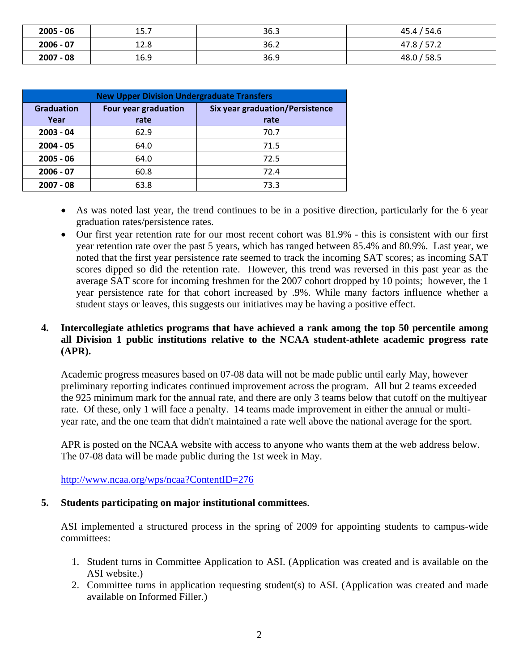| $2005 - 06$ | 15.7 | 36.3 | 45.4 / 54.6 |
|-------------|------|------|-------------|
| $2006 - 07$ | 12.8 | 36.2 | 47.8 / 57.2 |
| $2007 - 08$ | 16.9 | 36.9 | 48.0 / 58.5 |

| <b>New Upper Division Undergraduate Transfers</b> |                      |                                        |  |  |  |
|---------------------------------------------------|----------------------|----------------------------------------|--|--|--|
| <b>Graduation</b>                                 | Four year graduation | <b>Six year graduation/Persistence</b> |  |  |  |
| Year                                              | rate                 | rate                                   |  |  |  |
| $2003 - 04$                                       | 62.9                 | 70.7                                   |  |  |  |
| $2004 - 05$                                       | 64.0                 | 71.5                                   |  |  |  |
| $2005 - 06$                                       | 64.0                 | 72.5                                   |  |  |  |
| $2006 - 07$                                       | 60.8                 | 72.4                                   |  |  |  |
| $2007 - 08$                                       | 63.8                 | 73.3                                   |  |  |  |

- As was noted last year, the trend continues to be in a positive direction, particularly for the 6 year graduation rates/persistence rates.
- Our first year retention rate for our most recent cohort was 81.9% this is consistent with our first year retention rate over the past 5 years, which has ranged between 85.4% and 80.9%. Last year, we noted that the first year persistence rate seemed to track the incoming SAT scores; as incoming SAT scores dipped so did the retention rate. However, this trend was reversed in this past year as the average SAT score for incoming freshmen for the 2007 cohort dropped by 10 points; however, the 1 year persistence rate for that cohort increased by .9%. While many factors influence whether a student stays or leaves, this suggests our initiatives may be having a positive effect.

## **4. Intercollegiate athletics programs that have achieved a rank among the top 50 percentile among all Division 1 public institutions relative to the NCAA student-athlete academic progress rate (APR).**

Academic progress measures based on 07-08 data will not be made public until early May, however preliminary reporting indicates continued improvement across the program. All but 2 teams exceeded the 925 minimum mark for the annual rate, and there are only 3 teams below that cutoff on the multiyear rate. Of these, only 1 will face a penalty. 14 teams made improvement in either the annual or multiyear rate, and the one team that didn't maintained a rate well above the national average for the sport.

APR is posted on the NCAA website with access to anyone who wants them at the web address below. The 07-08 data will be made public during the 1st week in May.

http://www.ncaa.org/wps/ncaa?ContentID=276

#### **5. Students participating on major institutional committees**.

ASI implemented a structured process in the spring of 2009 for appointing students to campus-wide committees:

- 1. Student turns in Committee Application to ASI. (Application was created and is available on the ASI website.)
- 2. Committee turns in application requesting student(s) to ASI. (Application was created and made available on Informed Filler.)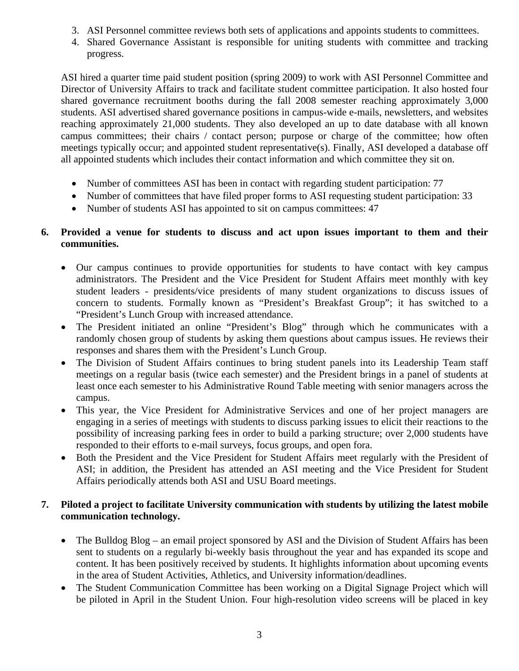- 3. ASI Personnel committee reviews both sets of applications and appoints students to committees.
- 4. Shared Governance Assistant is responsible for uniting students with committee and tracking progress.

ASI hired a quarter time paid student position (spring 2009) to work with ASI Personnel Committee and Director of University Affairs to track and facilitate student committee participation. It also hosted four shared governance recruitment booths during the fall 2008 semester reaching approximately 3,000 students. ASI advertised shared governance positions in campus-wide e-mails, newsletters, and websites reaching approximately 21,000 students. They also developed an up to date database with all known campus committees; their chairs / contact person; purpose or charge of the committee; how often meetings typically occur; and appointed student representative(s). Finally, ASI developed a database off all appointed students which includes their contact information and which committee they sit on.

- Number of committees ASI has been in contact with regarding student participation: 77
- Number of committees that have filed proper forms to ASI requesting student participation: 33
- Number of students ASI has appointed to sit on campus committees: 47

## **6. Provided a venue for students to discuss and act upon issues important to them and their communities.**

- Our campus continues to provide opportunities for students to have contact with key campus administrators. The President and the Vice President for Student Affairs meet monthly with key student leaders - presidents/vice presidents of many student organizations to discuss issues of concern to students. Formally known as "President's Breakfast Group"; it has switched to a "President's Lunch Group with increased attendance.
- The President initiated an online "President's Blog" through which he communicates with a randomly chosen group of students by asking them questions about campus issues. He reviews their responses and shares them with the President's Lunch Group.
- The Division of Student Affairs continues to bring student panels into its Leadership Team staff meetings on a regular basis (twice each semester) and the President brings in a panel of students at least once each semester to his Administrative Round Table meeting with senior managers across the campus.
- This year, the Vice President for Administrative Services and one of her project managers are engaging in a series of meetings with students to discuss parking issues to elicit their reactions to the possibility of increasing parking fees in order to build a parking structure; over 2,000 students have responded to their efforts to e-mail surveys, focus groups, and open fora.
- Both the President and the Vice President for Student Affairs meet regularly with the President of ASI; in addition, the President has attended an ASI meeting and the Vice President for Student Affairs periodically attends both ASI and USU Board meetings.

## **7. Piloted a project to facilitate University communication with students by utilizing the latest mobile communication technology.**

- The Bulldog Blog an email project sponsored by ASI and the Division of Student Affairs has been sent to students on a regularly bi-weekly basis throughout the year and has expanded its scope and content. It has been positively received by students. It highlights information about upcoming events in the area of Student Activities, Athletics, and University information/deadlines.
- The Student Communication Committee has been working on a Digital Signage Project which will be piloted in April in the Student Union. Four high-resolution video screens will be placed in key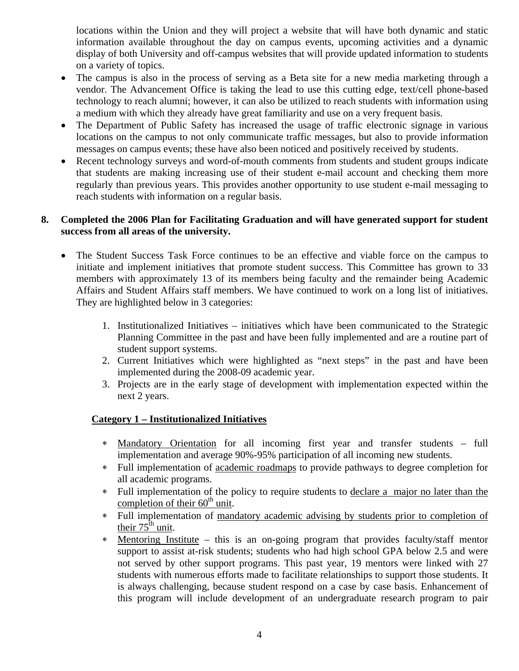locations within the Union and they will project a website that will have both dynamic and static information available throughout the day on campus events, upcoming activities and a dynamic display of both University and off-campus websites that will provide updated information to students on a variety of topics.

- The campus is also in the process of serving as a Beta site for a new media marketing through a vendor. The Advancement Office is taking the lead to use this cutting edge, text/cell phone-based technology to reach alumni; however, it can also be utilized to reach students with information using a medium with which they already have great familiarity and use on a very frequent basis.
- The Department of Public Safety has increased the usage of traffic electronic signage in various locations on the campus to not only communicate traffic messages, but also to provide information messages on campus events; these have also been noticed and positively received by students.
- Recent technology surveys and word-of-mouth comments from students and student groups indicate that students are making increasing use of their student e-mail account and checking them more regularly than previous years. This provides another opportunity to use student e-mail messaging to reach students with information on a regular basis.

#### **8. Completed the 2006 Plan for Facilitating Graduation and will have generated support for student success from all areas of the university.**

- The Student Success Task Force continues to be an effective and viable force on the campus to initiate and implement initiatives that promote student success. This Committee has grown to 33 members with approximately 13 of its members being faculty and the remainder being Academic Affairs and Student Affairs staff members. We have continued to work on a long list of initiatives. They are highlighted below in 3 categories:
	- 1. Institutionalized Initiatives initiatives which have been communicated to the Strategic Planning Committee in the past and have been fully implemented and are a routine part of student support systems.
	- 2. Current Initiatives which were highlighted as "next steps" in the past and have been implemented during the 2008-09 academic year.
	- 3. Projects are in the early stage of development with implementation expected within the next 2 years.

## **Category 1 – Institutionalized Initiatives**

- ∗ Mandatory Orientation for all incoming first year and transfer students full implementation and average 90%-95% participation of all incoming new students.
- ∗ Full implementation of academic roadmaps to provide pathways to degree completion for all academic programs.
- ∗ Full implementation of the policy to require students to declare a major no later than the completion of their  $60<sup>th</sup>$  unit.
- ∗ Full implementation of mandatory academic advising by students prior to completion of their  $75<sup>th</sup>$  unit.
- ∗ Mentoring Institute this is an on-going program that provides faculty/staff mentor support to assist at-risk students; students who had high school GPA below 2.5 and were not served by other support programs. This past year, 19 mentors were linked with 27 students with numerous efforts made to facilitate relationships to support those students. It is always challenging, because student respond on a case by case basis. Enhancement of this program will include development of an undergraduate research program to pair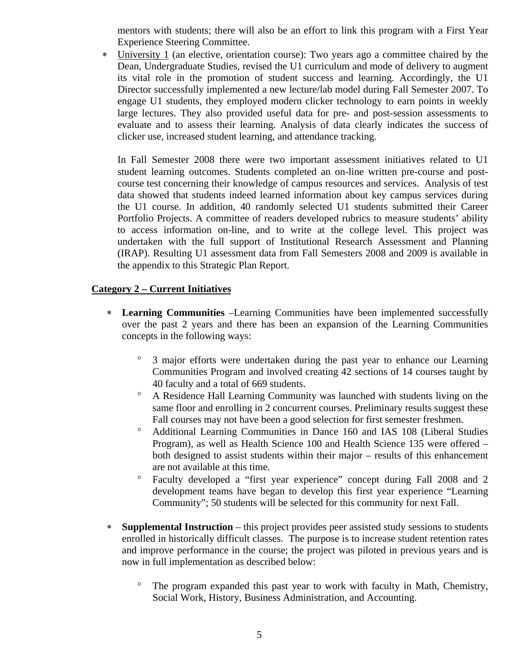mentors with students; there will also be an effort to link this program with a First Year Experience Steering Committee.

∗ University 1 (an elective, orientation course): Two years ago a committee chaired by the Dean, Undergraduate Studies, revised the U1 curriculum and mode of delivery to augment its vital role in the promotion of student success and learning. Accordingly, the U1 Director successfully implemented a new lecture/lab model during Fall Semester 2007. To engage U1 students, they employed modern clicker technology to earn points in weekly large lectures. They also provided useful data for pre- and post-session assessments to evaluate and to assess their learning. Analysis of data clearly indicates the success of clicker use, increased student learning, and attendance tracking.

In Fall Semester 2008 there were two important assessment initiatives related to U1 student learning outcomes. Students completed an on-line written pre-course and postcourse test concerning their knowledge of campus resources and services. Analysis of test data showed that students indeed learned information about key campus services during the U1 course. In addition, 40 randomly selected U1 students submitted their Career Portfolio Projects. A committee of readers developed rubrics to measure students' ability to access information on-line, and to write at the college level. This project was undertaken with the full support of Institutional Research Assessment and Planning (IRAP). Resulting U1 assessment data from Fall Semesters 2008 and 2009 is available in the appendix to this Strategic Plan Report.

#### **Category 2 – Current Initiatives**

- ∗ **Learning Communities** –Learning Communities have been implemented successfully over the past 2 years and there has been an expansion of the Learning Communities concepts in the following ways:
	- ° 3 major efforts were undertaken during the past year to enhance our Learning Communities Program and involved creating 42 sections of 14 courses taught by 40 faculty and a total of 669 students.
	- ° A Residence Hall Learning Community was launched with students living on the same floor and enrolling in 2 concurrent courses. Preliminary results suggest these Fall courses may not have been a good selection for first semester freshmen.
	- ° Additional Learning Communities in Dance 160 and IAS 108 (Liberal Studies Program), as well as Health Science 100 and Health Science 135 were offered – both designed to assist students within their major – results of this enhancement are not available at this time.
	- ° Faculty developed a "first year experience" concept during Fall 2008 and 2 development teams have began to develop this first year experience "Learning Community"; 50 students will be selected for this community for next Fall.
- ∗ **Supplemental Instruction** this project provides peer assisted study sessions to students enrolled in historically difficult classes. The purpose is to increase student retention rates and improve performance in the course; the project was piloted in previous years and is now in full implementation as described below:
	- ° The program expanded this past year to work with faculty in Math, Chemistry, Social Work, History, Business Administration, and Accounting.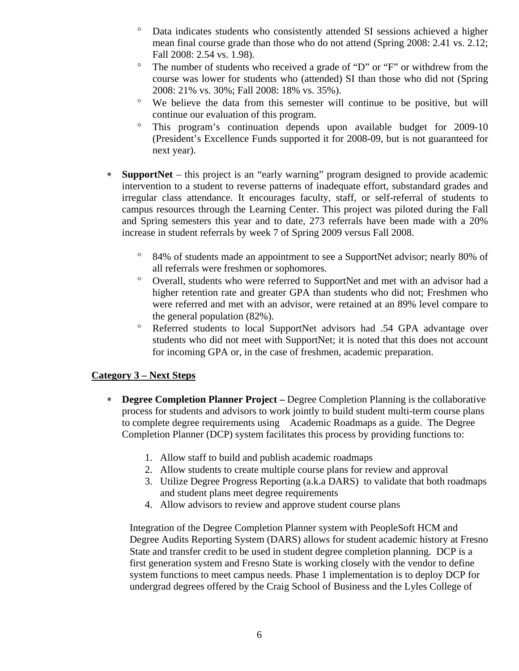- Data indicates students who consistently attended SI sessions achieved a higher mean final course grade than those who do not attend (Spring 2008: 2.41 vs. 2.12; Fall 2008: 2.54 vs. 1.98).
- ° The number of students who received a grade of "D" or "F" or withdrew from the course was lower for students who (attended) SI than those who did not (Spring 2008: 21% vs. 30%; Fall 2008: 18% vs. 35%).
- ° We believe the data from this semester will continue to be positive, but will continue our evaluation of this program.
- This program's continuation depends upon available budget for 2009-10 (President's Excellence Funds supported it for 2008-09, but is not guaranteed for next year).
- ∗ **SupportNet** this project is an "early warning" program designed to provide academic intervention to a student to reverse patterns of inadequate effort, substandard grades and irregular class attendance. It encourages faculty, staff, or self-referral of students to campus resources through the Learning Center. This project was piloted during the Fall and Spring semesters this year and to date, 273 referrals have been made with a 20% increase in student referrals by week 7 of Spring 2009 versus Fall 2008.
	- ° 84% of students made an appointment to see a SupportNet advisor; nearly 80% of all referrals were freshmen or sophomores.
	- ° Overall, students who were referred to SupportNet and met with an advisor had a higher retention rate and greater GPA than students who did not; Freshmen who were referred and met with an advisor, were retained at an 89% level compare to the general population (82%).
	- Referred students to local SupportNet advisors had .54 GPA advantage over students who did not meet with SupportNet; it is noted that this does not account for incoming GPA or, in the case of freshmen, academic preparation.

## **Category 3 – Next Steps**

- ∗ **Degree Completion Planner Project –** Degree Completion Planning is the collaborative process for students and advisors to work jointly to build student multi-term course plans to complete degree requirements using Academic Roadmaps as a guide. The Degree Completion Planner (DCP) system facilitates this process by providing functions to:
	- 1. Allow staff to build and publish academic roadmaps
	- 2. Allow students to create multiple course plans for review and approval
	- 3. Utilize Degree Progress Reporting (a.k.a DARS) to validate that both roadmaps and student plans meet degree requirements
	- 4. Allow advisors to review and approve student course plans

Integration of the Degree Completion Planner system with PeopleSoft HCM and Degree Audits Reporting System (DARS) allows for student academic history at Fresno State and transfer credit to be used in student degree completion planning. DCP is a first generation system and Fresno State is working closely with the vendor to define system functions to meet campus needs. Phase 1 implementation is to deploy DCP for undergrad degrees offered by the Craig School of Business and the Lyles College of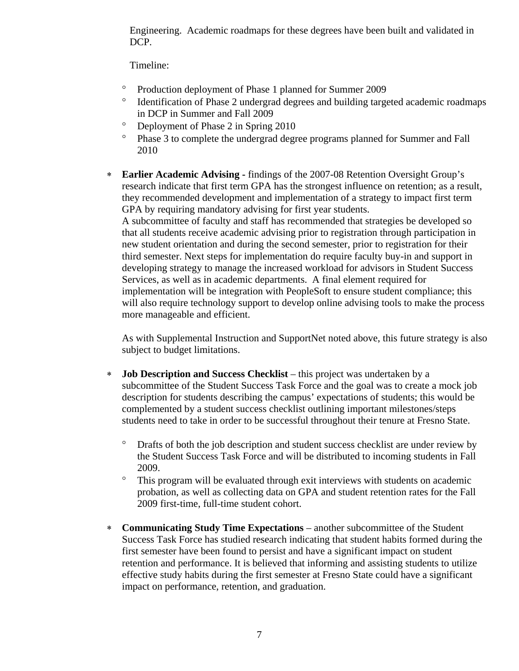Engineering. Academic roadmaps for these degrees have been built and validated in DCP.

Timeline:

- ° Production deployment of Phase 1 planned for Summer 2009
- ° Identification of Phase 2 undergrad degrees and building targeted academic roadmaps in DCP in Summer and Fall 2009
- ° Deployment of Phase 2 in Spring 2010
- ° Phase 3 to complete the undergrad degree programs planned for Summer and Fall 2010
- ∗ **Earlier Academic Advising** findings of the 2007-08 Retention Oversight Group's research indicate that first term GPA has the strongest influence on retention; as a result, they recommended development and implementation of a strategy to impact first term GPA by requiring mandatory advising for first year students. A subcommittee of faculty and staff has recommended that strategies be developed so that all students receive academic advising prior to registration through participation in new student orientation and during the second semester, prior to registration for their third semester. Next steps for implementation do require faculty buy-in and support in developing strategy to manage the increased workload for advisors in Student Success Services, as well as in academic departments. A final element required for implementation will be integration with PeopleSoft to ensure student compliance; this will also require technology support to develop online advising tools to make the process more manageable and efficient.

As with Supplemental Instruction and SupportNet noted above, this future strategy is also subject to budget limitations.

- ∗ **Job Description and Success Checklist** this project was undertaken by a subcommittee of the Student Success Task Force and the goal was to create a mock job description for students describing the campus' expectations of students; this would be complemented by a student success checklist outlining important milestones/steps students need to take in order to be successful throughout their tenure at Fresno State.
	- ° Drafts of both the job description and student success checklist are under review by the Student Success Task Force and will be distributed to incoming students in Fall 2009.
	- ° This program will be evaluated through exit interviews with students on academic probation, as well as collecting data on GPA and student retention rates for the Fall 2009 first-time, full-time student cohort.
- ∗ **Communicating Study Time Expectations** another subcommittee of the Student Success Task Force has studied research indicating that student habits formed during the first semester have been found to persist and have a significant impact on student retention and performance. It is believed that informing and assisting students to utilize effective study habits during the first semester at Fresno State could have a significant impact on performance, retention, and graduation.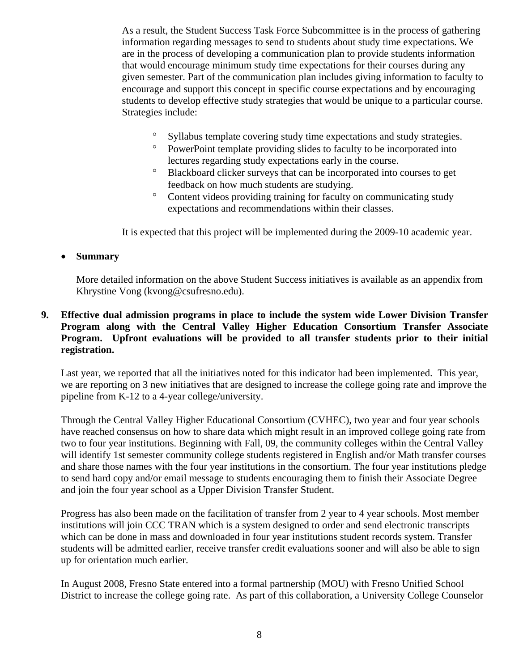As a result, the Student Success Task Force Subcommittee is in the process of gathering information regarding messages to send to students about study time expectations. We are in the process of developing a communication plan to provide students information that would encourage minimum study time expectations for their courses during any given semester. Part of the communication plan includes giving information to faculty to encourage and support this concept in specific course expectations and by encouraging students to develop effective study strategies that would be unique to a particular course. Strategies include:

- ° Syllabus template covering study time expectations and study strategies.
- ° PowerPoint template providing slides to faculty to be incorporated into lectures regarding study expectations early in the course.
- ° Blackboard clicker surveys that can be incorporated into courses to get feedback on how much students are studying.
- ° Content videos providing training for faculty on communicating study expectations and recommendations within their classes.

It is expected that this project will be implemented during the 2009-10 academic year.

#### • **Summary**

More detailed information on the above Student Success initiatives is available as an appendix from Khrystine Vong (kvong@csufresno.edu).

#### **9. Effective dual admission programs in place to include the system wide Lower Division Transfer Program along with the Central Valley Higher Education Consortium Transfer Associate Program. Upfront evaluations will be provided to all transfer students prior to their initial registration.**

Last year, we reported that all the initiatives noted for this indicator had been implemented. This year, we are reporting on 3 new initiatives that are designed to increase the college going rate and improve the pipeline from K-12 to a 4-year college/university.

Through the Central Valley Higher Educational Consortium (CVHEC), two year and four year schools have reached consensus on how to share data which might result in an improved college going rate from two to four year institutions. Beginning with Fall, 09, the community colleges within the Central Valley will identify 1st semester community college students registered in English and/or Math transfer courses and share those names with the four year institutions in the consortium. The four year institutions pledge to send hard copy and/or email message to students encouraging them to finish their Associate Degree and join the four year school as a Upper Division Transfer Student.

Progress has also been made on the facilitation of transfer from 2 year to 4 year schools. Most member institutions will join CCC TRAN which is a system designed to order and send electronic transcripts which can be done in mass and downloaded in four year institutions student records system. Transfer students will be admitted earlier, receive transfer credit evaluations sooner and will also be able to sign up for orientation much earlier.

In August 2008, Fresno State entered into a formal partnership (MOU) with Fresno Unified School District to increase the college going rate. As part of this collaboration, a University College Counselor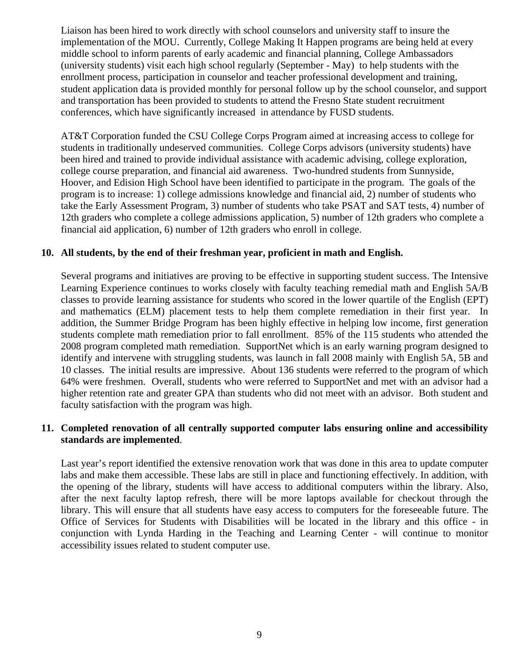Liaison has been hired to work directly with school counselors and university staff to insure the implementation of the MOU. Currently, College Making It Happen programs are being held at every middle school to inform parents of early academic and financial planning, College Ambassadors (university students) visit each high school regularly (September - May) to help students with the enrollment process, participation in counselor and teacher professional development and training, student application data is provided monthly for personal follow up by the school counselor, and support and transportation has been provided to students to attend the Fresno State student recruitment conferences, which have significantly increased in attendance by FUSD students.

AT&T Corporation funded the CSU College Corps Program aimed at increasing access to college for students in traditionally undeserved communities. College Corps advisors (university students) have been hired and trained to provide individual assistance with academic advising, college exploration, college course preparation, and financial aid awareness. Two-hundred students from Sunnyside, Hoover, and Edision High School have been identified to participate in the program. The goals of the program is to increase: 1) college admissions knowledge and financial aid, 2) number of students who take the Early Assessment Program, 3) number of students who take PSAT and SAT tests, 4) number of 12th graders who complete a college admissions application, 5) number of 12th graders who complete a financial aid application, 6) number of 12th graders who enroll in college.

#### **10. All students, by the end of their freshman year, proficient in math and English.**

 Several programs and initiatives are proving to be effective in supporting student success. The Intensive Learning Experience continues to works closely with faculty teaching remedial math and English 5A/B classes to provide learning assistance for students who scored in the lower quartile of the English (EPT) and mathematics (ELM) placement tests to help them complete remediation in their first year. In addition, the Summer Bridge Program has been highly effective in helping low income, first generation students complete math remediation prior to fall enrollment. 85% of the 115 students who attended the 2008 program completed math remediation. SupportNet which is an early warning program designed to identify and intervene with struggling students, was launch in fall 2008 mainly with English 5A, 5B and 10 classes. The initial results are impressive. About 136 students were referred to the program of which 64% were freshmen. Overall, students who were referred to SupportNet and met with an advisor had a higher retention rate and greater GPA than students who did not meet with an advisor. Both student and faculty satisfaction with the program was high.

#### **11. Completed renovation of all centrally supported computer labs ensuring online and accessibility standards are implemented**.

Last year's report identified the extensive renovation work that was done in this area to update computer labs and make them accessible. These labs are still in place and functioning effectively. In addition, with the opening of the library, students will have access to additional computers within the library. Also, after the next faculty laptop refresh, there will be more laptops available for checkout through the library. This will ensure that all students have easy access to computers for the foreseeable future. The Office of Services for Students with Disabilities will be located in the library and this office - in conjunction with Lynda Harding in the Teaching and Learning Center - will continue to monitor accessibility issues related to student computer use.